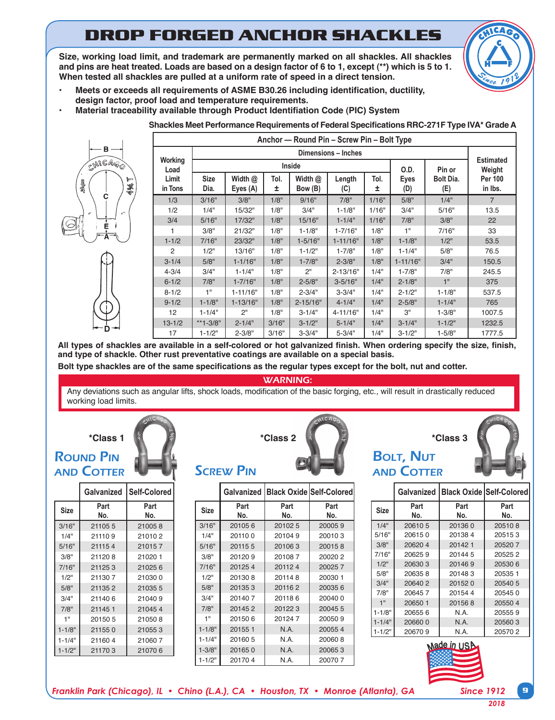# **DROP FORGED ANCHOR SHACKLES**

**Size, working load limit, and trademark are permanently marked on all shackles. All shackles and pins are heat treated. Loads are based on a design factor of 6 to 1, except (\*\*) which is 5 to 1. When tested all shackles are pulled at a uniform rate of speed in a direct tension.**



- **• Meets or exceeds all requirements of ASME B30.26 including identification, ductility, design factor, proof load and temperature requirements.**
	- **• Material traceability available through Product Identifiation Code (PIC) System**

**Shackles Meet Performance Requirements of Federal Specifications RRC-271F Type IVA\* Grade A**



| Anchor - Round Pin - Screw Pin - Bolt Type |                     |                       |            |                      |               |                            |              |                  |                           |
|--------------------------------------------|---------------------|-----------------------|------------|----------------------|---------------|----------------------------|--------------|------------------|---------------------------|
|                                            | Dimensions - Inches |                       |            |                      |               |                            |              |                  |                           |
| Working<br>Load<br>Limit<br>in Tons        |                     |                       | Inside     | O.D.                 | Pin or        | <b>Estimated</b><br>Weight |              |                  |                           |
|                                            | <b>Size</b><br>Dia. | Width $@$<br>Eyes (A) | Tol.<br>±. | Width $@$<br>Bow (B) | Length<br>(C) | Tol.<br>±                  | Eyes<br>(D)  | Bolt Dia.<br>(E) | <b>Per 100</b><br>in Ibs. |
| 1/3                                        | 3/16"               | 3/8"                  | 1/8"       | 9/16"                | 7/8"          | 1/16"                      | 5/8"         | 1/4"             | $\overline{7}$            |
| 1/2                                        | 1/4"                | 15/32"                | 1/8"       | 3/4"                 | $1 - 1/8"$    | 1/16"                      | 3/4"         | 5/16"            | 13.5                      |
| 3/4                                        | 5/16"               | 17/32"                | 1/8"       | 15/16"               | $1 - 1/4"$    | 1/16"                      | 7/8"         | 3/8"             | 22                        |
| 1                                          | 3/8"                | 21/32"                | 1/8"       | $1 - 1/8"$           | $1 - 7/16"$   | 1/8"                       | 1"           | 7/16"            | 33                        |
| $1 - 1/2$                                  | 7/16"               | 23/32"                | 1/8"       | $1 - 5/16"$          | $1 - 11/16"$  | 1/8"                       | $1 - 1/8"$   | 1/2"             | 53.5                      |
| 2                                          | 1/2"                | 13/16"                | 1/8"       | $1 - 1/2"$           | $1 - 7/8"$    | 1/8"                       | $1 - 1/4"$   | 5/8"             | 76.5                      |
| $3 - 1/4$                                  | 5/8"                | $1 - 1/16"$           | 1/8"       | $1 - 7/8"$           | $2 - 3/8"$    | 1/8"                       | $1 - 11/16"$ | 3/4"             | 150.5                     |
| $4 - 3/4$                                  | 3/4"                | $1 - 1/4"$            | 1/8"       | 2"                   | $2 - 13/16"$  | 1/4"                       | $1 - 7/8"$   | 7/8"             | 245.5                     |
| $6 - 1/2$                                  | 7/8"                | $1 - 7/16"$           | 1/8"       | $2 - 5/8"$           | $3 - 5/16"$   | 1/4"                       | $2 - 1/8"$   | 1"               | 375                       |
| $8 - 1/2$                                  | 1"                  | $1 - 11/16"$          | 1/8"       | $2 - 3/4"$           | $3 - 3/4"$    | 1/4"                       | $2 - 1/2"$   | $1 - 1/8"$       | 537.5                     |
| $9 - 1/2$                                  | $1 - 1/8"$          | $1 - 13/16"$          | 1/8"       | $2 - 15/16"$         | $4 - 1/4"$    | 1/4"                       | $2 - 5/8"$   | $1 - 1/4"$       | 765                       |
| 12                                         | $1 - 1/4"$          | 2"                    | 1/8"       | $3 - 1/4"$           | 4-11/16"      | 1/4"                       | 3"           | $1 - 3/8"$       | 1007.5                    |
| $13 - 1/2$                                 | **1-3/8"            | $2 - 1/4"$            | 3/16"      | $3 - 1/2"$           | $5 - 1/4"$    | 1/4"                       | $3 - 1/4"$   | $1 - 1/2"$       | 1232.5                    |
| 17                                         | $1 - 1/2"$          | $2 - 3/8"$            | 3/16"      | $3 - 3/4"$           | $5 - 3/4"$    | 1/4"                       | $3 - 1/2"$   | $1 - 5/8"$       | 1777.5                    |

**All types of shackles are available in a self-colored or hot galvanized finish. When ordering specify the size, finish, and type of shackle. Other rust preventative coatings are available on a special basis.**

**Bolt type shackles are of the same specifications as the regular types except for the bolt, nut and cotter.**

WARNING:

Any deviations such as angular lifts, shock loads, modification of the basic forging, etc., will result in drastically reduced working load limits.

#### **\*Class 1**

## **ROUND PIN** and Cotter

|             | Galvanized  | Self-Colored |  |
|-------------|-------------|--------------|--|
| <b>Size</b> | Part<br>No. | Part<br>No.  |  |
| 3/16"       | 211055      | 210058       |  |
| 1/4"        | 211109      | 210102       |  |
| 5/16"       | 211154      | 210157       |  |
| 3/8"        | 211208      | 21020 1      |  |
| 7/16"       | 211253      | 210256       |  |
| 1/2"        | 211307      | 210300       |  |
| 5/8"        | 211352      | 210355       |  |
| 3/4"        | 211406      | 210409       |  |
| 7/8"        | 211451      | 210454       |  |
| 1"          | 201505      | 210508       |  |
| $1 - 1/8"$  | 211550      | 210553       |  |
| $1 - 1/4"$  | 211604      | 210607       |  |
| $1 - 1/2"$  | 211703      | 210706       |  |



#### **SCREW PIN**

|             |             |             | Galvanized   Black Oxide   Self-Colored |
|-------------|-------------|-------------|-----------------------------------------|
| <b>Size</b> | Part<br>No. | Part<br>No. | Part<br>No.                             |
| 3/16"       | 201056      | 201025      | 200059                                  |
| 1/4"        | 201100      | 201049      | 200103                                  |
| 5/16"       | 201155      | 201063      | 200158                                  |
| 3/8"        | 201209      | 201087      | 200202                                  |
| 7/16"       | 201254      | 201124      | 200257                                  |
| 1/2"        | 201308      | 201148      | 200301                                  |
| 5/8"        | 201353      | 201162      | 200356                                  |
| 3/4"        | 201407      | 201186      | 200400                                  |
| 7/8"        | 201452      | 201223      | 20045 5                                 |
| 1"          | 201506      | 201247      | 200509                                  |
| $1 - 1/8"$  | 201551      | N.A.        | 200554                                  |
| $1 - 1/4"$  | 201605      | N.A.        | 200608                                  |
| $1 - 3/8"$  | 201650      | N.A.        | 200653                                  |
| $1 - 1/2"$  | 201704      | N.A.        | 200707                                  |



|             |             | Galvanized   Black Oxide   Self-Colored |             |
|-------------|-------------|-----------------------------------------|-------------|
| <b>Size</b> | Part<br>No. | Part<br>No.                             | Part<br>No. |
| 1/4"        | 206105      | 201360                                  | 205108      |
| 5/16"       | 206150      | 201384                                  | 205153      |
| 3/8"        | 206204      | 201421                                  | 205207      |
| 7/16"       | 206259      | 201445                                  | 205252      |
| 1/2"        | 206303      | 201469                                  | 205306      |
| 5/8"        | 206358      | 201483                                  | 205351      |
| 3/4"        | 206402      | 201520                                  | 20540 5     |
| 7/8"        | 206457      | 201544                                  | 205450      |
| 1"          | 206501      | 201568                                  | 205504      |
| $1 - 1/8"$  | 206556      | N.A.                                    | 205559      |
| $1 - 1/4"$  | 206600      | N.A.                                    | 205603      |
| $1 - 1/2"$  | 206709      | N.A.                                    | 205702      |



*Franklin Park (Chicago), IL • Chino (L.A.), CA • Houston, TX • Monroe (Atlanta), GA Since 1912* **9**